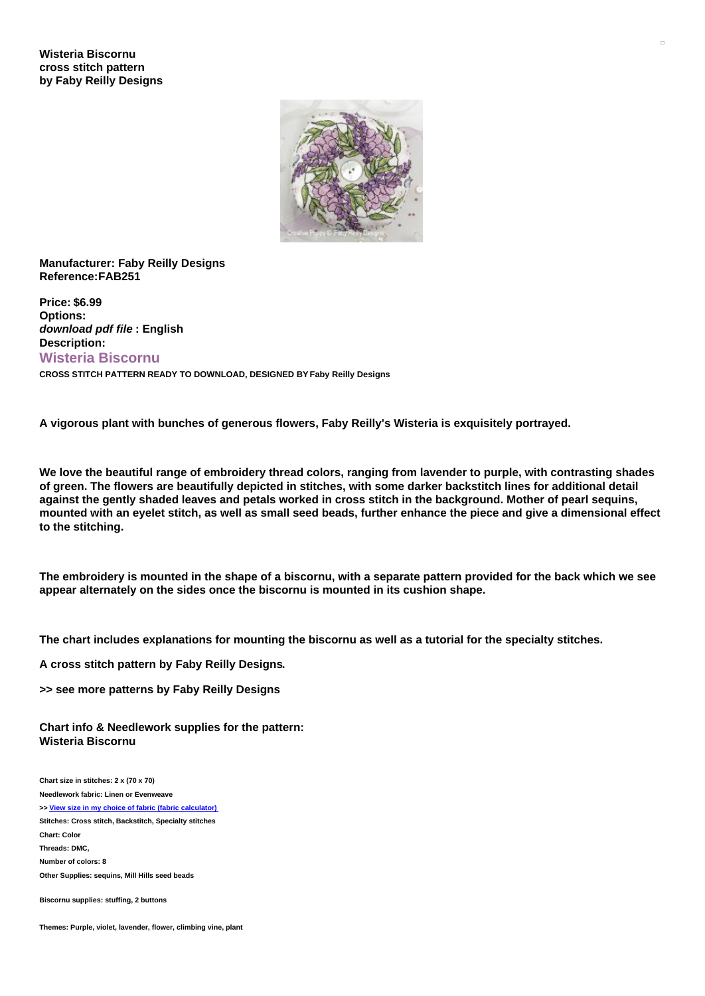

## **Manufacturer: Faby Reilly Designs Reference:FAB251**

**Price: \$6.99 Options:** *download pdf file* **: English Description: Wisteria Biscornu CROSS STITCH PATTERN READY TO DOWNLOAD, DESIGNED BY Faby Reilly Designs**

**A vigorous plant with bunches of generous flowers, Faby Reilly's Wisteria is exquisitely portrayed.**

We love the beautiful range of embroidery thread colors, ranging from lavender to purple, with contrasting shades of green. The flowers are beautifully depicted in stitches, with some darker backstitch lines for additional detail against the gently shaded leaves and petals worked in cross stitch in the background. Mother of pearl seguins, mounted with an evelet stitch, as well as small seed beads, further enhance the piece and give a dimensional effect **to the stitching.**

The embroidery is mounted in the shape of a biscornu, with a separate pattern provided for the back which we see **appear alternately on the sides once the biscornu is mounted in its cushion shape.**

The chart includes explanations for mounting the biscornu as well as a tutorial for the specialty stitches.

**A cross stitch pattern by Faby Reilly Designs.**

**>> see more patterns by Faby Reilly Designs**

**Chart info & Needlework supplies for the pattern: Wisteria Biscornu**

**Chart size in stitches: 2 x (70 x 70) Needlework fabric: Linen or Evenweave >> View size in my choice of fabric (fabric [calculator\)](https://www.creativepoppypatterns.com/calculette-de-toile.php?products_id=3333&w=70&h=70) Stitches: Cross stitch, Backstitch, Specialty stitches Chart: Color Threads: DMC, Number of colors: 8 Other Supplies: sequins, Mill Hills seed beads**

**Biscornu supplies: stuffing, 2 buttons**

**Themes: Purple, violet, lavender, flower, climbing vine, plant**